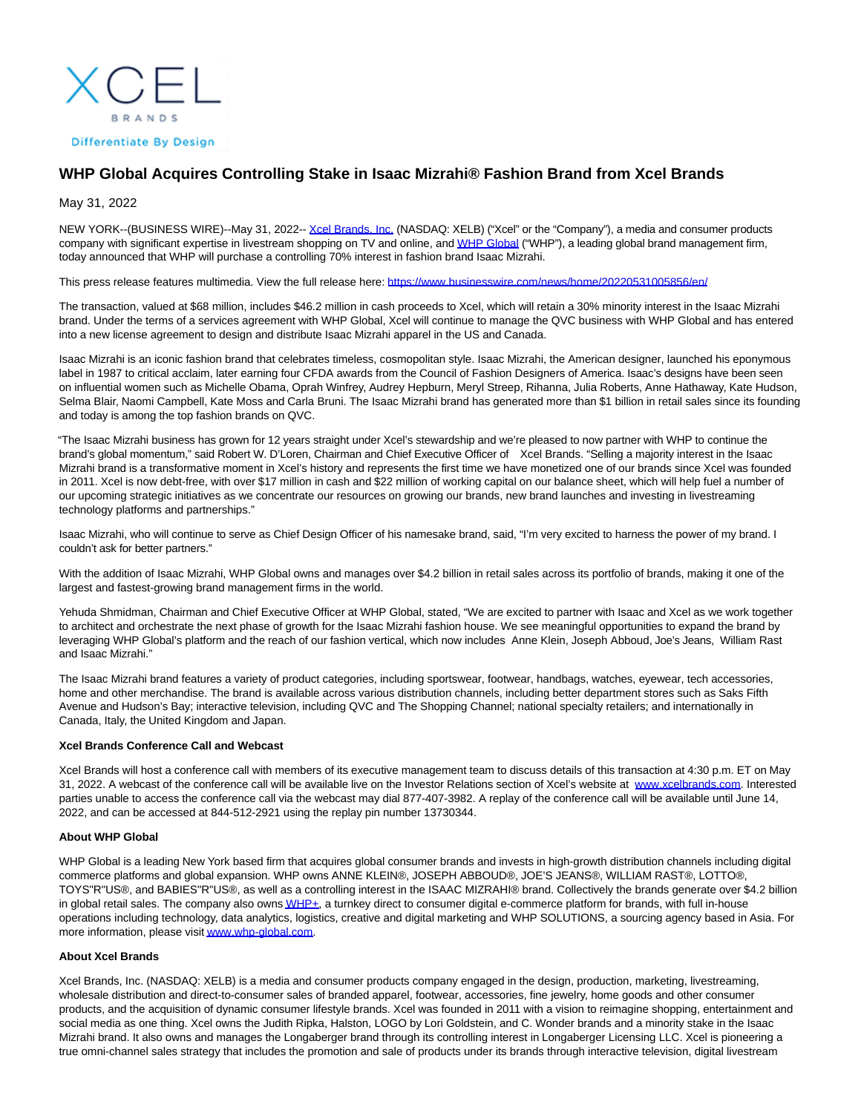**BRANDS Differentiate By Design** 

## **WHP Global Acquires Controlling Stake in Isaac Mizrahi® Fashion Brand from Xcel Brands**

May 31, 2022

NEW YORK--(BUSINESS WIRE)--May 31, 2022-[- Xcel Brands, Inc. \(](https://cts.businesswire.com/ct/CT?id=smartlink&url=https%3A%2F%2Fxcelbrands.co%2F&esheet=52735565&newsitemid=20220531005856&lan=en-US&anchor=Xcel+Brands%2C+Inc.&index=1&md5=624d36a6bcf05316d725805a10b402a2)NASDAQ: XELB) ("Xcel" or the "Company"), a media and consumer products company with significant expertise in livestream shopping on TV and online, an[d WHP Global \(](https://cts.businesswire.com/ct/CT?id=smartlink&url=https%3A%2F%2Fwww.whp-global.com&esheet=52735565&newsitemid=20220531005856&lan=en-US&anchor=WHP+Global&index=2&md5=33648b408e35dfefb25685d2a733b8c4)"WHP"), a leading global brand management firm, today announced that WHP will purchase a controlling 70% interest in fashion brand Isaac Mizrahi.

This press release features multimedia. View the full release here:<https://www.businesswire.com/news/home/20220531005856/en/>

The transaction, valued at \$68 million, includes \$46.2 million in cash proceeds to Xcel, which will retain a 30% minority interest in the Isaac Mizrahi brand. Under the terms of a services agreement with WHP Global, Xcel will continue to manage the QVC business with WHP Global and has entered into a new license agreement to design and distribute Isaac Mizrahi apparel in the US and Canada.

Isaac Mizrahi is an iconic fashion brand that celebrates timeless, cosmopolitan style. Isaac Mizrahi, the American designer, launched his eponymous label in 1987 to critical acclaim, later earning four CFDA awards from the Council of Fashion Designers of America. Isaac's designs have been seen on influential women such as Michelle Obama, Oprah Winfrey, Audrey Hepburn, Meryl Streep, Rihanna, Julia Roberts, Anne Hathaway, Kate Hudson, Selma Blair, Naomi Campbell, Kate Moss and Carla Bruni. The Isaac Mizrahi brand has generated more than \$1 billion in retail sales since its founding and today is among the top fashion brands on QVC.

"The Isaac Mizrahi business has grown for 12 years straight under Xcel's stewardship and we're pleased to now partner with WHP to continue the brand's global momentum," said Robert W. D'Loren, Chairman and Chief Executive Officer of Xcel Brands. "Selling a majority interest in the Isaac Mizrahi brand is a transformative moment in Xcel's history and represents the first time we have monetized one of our brands since Xcel was founded in 2011. Xcel is now debt-free, with over \$17 million in cash and \$22 million of working capital on our balance sheet, which will help fuel a number of our upcoming strategic initiatives as we concentrate our resources on growing our brands, new brand launches and investing in livestreaming technology platforms and partnerships."

Isaac Mizrahi, who will continue to serve as Chief Design Officer of his namesake brand, said, "I'm very excited to harness the power of my brand. I couldn't ask for better partners."

With the addition of Isaac Mizrahi, WHP Global owns and manages over \$4.2 billion in retail sales across its portfolio of brands, making it one of the largest and fastest-growing brand management firms in the world.

Yehuda Shmidman, Chairman and Chief Executive Officer at WHP Global, stated, "We are excited to partner with Isaac and Xcel as we work together to architect and orchestrate the next phase of growth for the Isaac Mizrahi fashion house. We see meaningful opportunities to expand the brand by leveraging WHP Global's platform and the reach of our fashion vertical, which now includes Anne Klein, Joseph Abboud, Joe's Jeans, William Rast and Isaac Mizrahi."

The Isaac Mizrahi brand features a variety of product categories, including sportswear, footwear, handbags, watches, eyewear, tech accessories, home and other merchandise. The brand is available across various distribution channels, including better department stores such as Saks Fifth Avenue and Hudson's Bay; interactive television, including QVC and The Shopping Channel; national specialty retailers; and internationally in Canada, Italy, the United Kingdom and Japan.

## **Xcel Brands Conference Call and Webcast**

Xcel Brands will host a conference call with members of its executive management team to discuss details of this transaction at 4:30 p.m. ET on May 31, 2022. A webcast of the conference call will be available live on the Investor Relations section of Xcel's website at [www.xcelbrands.com.](https://cts.businesswire.com/ct/CT?id=smartlink&url=http%3A%2F%2Fwww.xcelbrands.com&esheet=52735565&newsitemid=20220531005856&lan=en-US&anchor=www.xcelbrands.com&index=3&md5=5b8ea9b627c4fcf570cfaa6865358965) Interested parties unable to access the conference call via the webcast may dial 877-407-3982. A replay of the conference call will be available until June 14, 2022, and can be accessed at 844-512-2921 using the replay pin number 13730344.

## **About WHP Global**

WHP Global is a leading New York based firm that acquires global consumer brands and invests in high-growth distribution channels including digital commerce platforms and global expansion. WHP owns ANNE KLEIN®, JOSEPH ABBOUD®, JOE'S JEANS®, WILLIAM RAST®, LOTTO®, TOYS"R"US®, and BABIES"R"US®, as well as a controlling interest in the ISAAC MIZRAHI® brand. Collectively the brands generate over \$4.2 billion in global retail sales. The company also own[s WHP+,](https://cts.businesswire.com/ct/CT?id=smartlink&url=https%3A%2F%2Fwww.whp-global.com%2Fwhp-plus%2F&esheet=52735565&newsitemid=20220531005856&lan=en-US&anchor=WHP%2B&index=4&md5=9b485d3b0caeb55aa340fbaf69f82874) a turnkey direct to consumer digital e-commerce platform for brands, with full in-house operations including technology, data analytics, logistics, creative and digital marketing and WHP SOLUTIONS, a sourcing agency based in Asia. For more information, please visi[t www.whp-global.com.](https://cts.businesswire.com/ct/CT?id=smartlink&url=http%3A%2F%2Fwww.whp-global.com&esheet=52735565&newsitemid=20220531005856&lan=en-US&anchor=www.whp-global.com&index=5&md5=33432ba90f6cd713d0f4bdf053936269)

## **About Xcel Brands**

Xcel Brands, Inc. (NASDAQ: XELB) is a media and consumer products company engaged in the design, production, marketing, livestreaming, wholesale distribution and direct-to-consumer sales of branded apparel, footwear, accessories, fine jewelry, home goods and other consumer products, and the acquisition of dynamic consumer lifestyle brands. Xcel was founded in 2011 with a vision to reimagine shopping, entertainment and social media as one thing. Xcel owns the Judith Ripka, Halston, LOGO by Lori Goldstein, and C. Wonder brands and a minority stake in the Isaac Mizrahi brand. It also owns and manages the Longaberger brand through its controlling interest in Longaberger Licensing LLC. Xcel is pioneering a true omni-channel sales strategy that includes the promotion and sale of products under its brands through interactive television, digital livestream